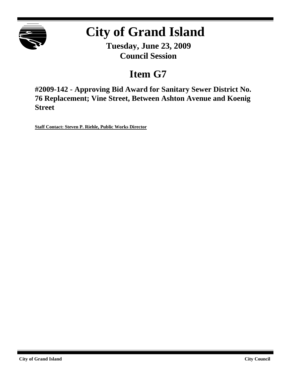

# **City of Grand Island**

**Tuesday, June 23, 2009 Council Session**

# **Item G7**

**#2009-142 - Approving Bid Award for Sanitary Sewer District No. 76 Replacement; Vine Street, Between Ashton Avenue and Koenig Street**

**Staff Contact: Steven P. Riehle, Public Works Director**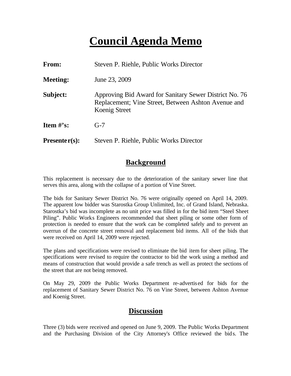# **Council Agenda Memo**

| <b>From:</b>                   | Steven P. Riehle, Public Works Director                                                                                        |
|--------------------------------|--------------------------------------------------------------------------------------------------------------------------------|
| <b>Meeting:</b>                | June 23, 2009                                                                                                                  |
| Subject:                       | Approving Bid Award for Sanitary Sewer District No. 76<br>Replacement; Vine Street, Between Ashton Avenue and<br>Koenig Street |
| <b>Item <math>\#</math>'s:</b> | $G-7$                                                                                                                          |
| $Presenter(s):$                | Steven P. Riehle, Public Works Director                                                                                        |

### **Background**

This replacement is necessary due to the deterioration of the sanitary sewer line that serves this area, along with the collapse of a portion of Vine Street.

The bids for Sanitary Sewer District No. 76 were originally opened on April 14, 2009. The apparent low bidder was Starostka Group Unlimited, Inc. of Grand Island, Nebraska. Starostka's bid was incomplete as no unit price was filled in for the bid item "Steel Sheet Piling". Public Works Engineers recommended that sheet piling or some other form of protection is needed to ensure that the work can be completed safely and to prevent an overrun of the concrete street removal and replacement bid items. All of the bids that were received on April 14, 2009 were rejected.

The plans and specifications were revised to eliminate the bid item for sheet piling. The specifications were revised to require the contractor to bid the work using a method and means of construction that would provide a safe trench as well as protect the sections of the street that are not being removed.

On May 29, 2009 the Public Works Department re-advertis ed for bids for the replacement of Sanitary Sewer District No. 76 on Vine Street, between Ashton Avenue and Koenig Street.

### **Discussion**

Three (3) bids were received and opened on June 9, 2009. The Public Works Department and the Purchasing Division of the City Attorney's Office reviewed the bids. The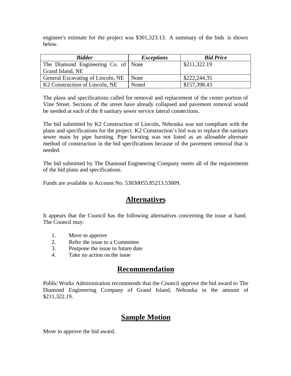engineer's estimate for the project was \$301,323.13. A summary of the bids is shown below.

| <b>Bidder</b>                       | <b>Exceptions</b> | <b>Bid Price</b> |
|-------------------------------------|-------------------|------------------|
| The Diamond Engineering Co. of None |                   | \$211,322.19     |
| Grand Island, NE                    |                   |                  |
| General Excavating of Lincoln, NE   | None              | \$222,244.35     |
| K2 Construction of Lincoln, NE      | <b>Noted</b>      | \$157,398.43     |

The plans and specifications called for removal and replacement of the center portion of Vine Street. Sections of the street have already collapsed and pavement removal would be needed at each of the 8 sanitary sewer service lateral connections.

The bid submitted by K2 Construction of Lincoln, Nebraska was not compliant with the plans and specifications for the project. K2 Construction's bid was to replace the sanitary sewer main by pipe bursting. Pipe bursting was not listed as an allowable alternate method of construction in the bid specifications because of the pavement removal that is needed.

The bid submitted by The Diamond Engineering Company meets all of the requirements of the bid plans and specifications.

Funds are available in Account No. 53030055.85213.53009.

# **Alternatives**

It appears that the Council has the following alternatives concerning the issue at hand. The Council may:

- 1. Move to approve
- 2. Refer the issue to a Committee
- 3. Postpone the issue to future date
- 4. Take no action on the issue

### **Recommendation**

Public Works Administration recommends that the Council approve the bid award to The Diamond Engineering Company of Grand Island, Nebraska in the amount of \$211,322.19.

# **Sample Motion**

Move to approve the bid award.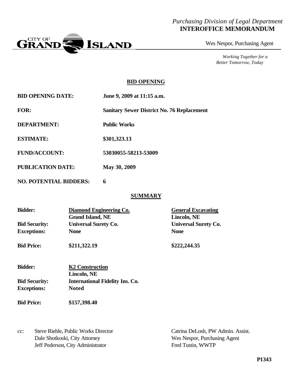#### *Purchasing Division of Legal Department* **INTEROFFICE MEMORANDUM**



Wes Nespor, Purchasing Agent

*Working Together for a Better Tomorrow, Today*

#### **BID OPENING**

| <b>BID OPENING DATE:</b> | June 9, 2009 at 11:15 a.m.                        |
|--------------------------|---------------------------------------------------|
| <b>FOR:</b>              | <b>Sanitary Sewer District No. 76 Replacement</b> |
| <b>DEPARTMENT:</b>       | <b>Public Works</b>                               |
| <b>ESTIMATE:</b>         | \$301,323.13                                      |
| <b>FUND/ACCOUNT:</b>     | 53030055-58213-53009                              |
| <b>PUBLICATION DATE:</b> | <b>May 30, 2009</b>                               |

**NO. POTENTIAL BIDDERS: 6**

#### **SUMMARY**

| <b>Bidder:</b>       | Diamond Engineering Co.<br><b>Grand Island, NE</b>    | <b>General Excavating</b><br>Lincoln, NE |
|----------------------|-------------------------------------------------------|------------------------------------------|
| <b>Bid Security:</b> | <b>Universal Surety Co.</b>                           | <b>Universal Surety Co.</b>              |
| <b>Exceptions:</b>   | <b>None</b>                                           | <b>None</b>                              |
| <b>Bid Price:</b>    | \$211,322.19                                          | \$222,244.35                             |
| <b>Bidder:</b>       | <b>K2 Construction</b>                                |                                          |
| <b>Bid Security:</b> | Lincoln, NE<br><b>International Fidelity Ins. Co.</b> |                                          |
| <b>Exceptions:</b>   | <b>Noted</b>                                          |                                          |
| <b>Bid Price:</b>    | \$157,398.40                                          |                                          |
|                      |                                                       |                                          |
|                      |                                                       |                                          |

cc: Steve Riehle, Public Works Director Catrina DeLosh, PW Admin. Assist. Dale Shotkoski, City Attorney Wes Nespor, Purchasing Agent Jeff Pederson, City Administrator Fred Tustin, WWTP